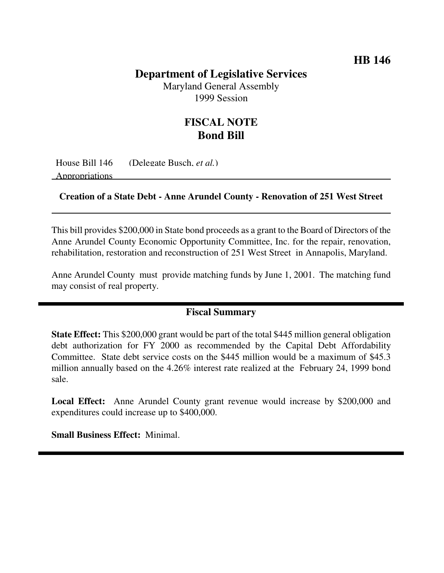## **HB 146**

## **Department of Legislative Services**

Maryland General Assembly 1999 Session

## **FISCAL NOTE Bond Bill**

House Bill 146 (Delegate Busch, *et al.*)

Appropriations

#### **Creation of a State Debt - Anne Arundel County - Renovation of 251 West Street**

This bill provides \$200,000 in State bond proceeds as a grant to the Board of Directors of the Anne Arundel County Economic Opportunity Committee, Inc. for the repair, renovation, rehabilitation, restoration and reconstruction of 251 West Street in Annapolis, Maryland.

Anne Arundel County must provide matching funds by June 1, 2001. The matching fund may consist of real property.

#### **Fiscal Summary**

**State Effect:** This \$200,000 grant would be part of the total \$445 million general obligation debt authorization for FY 2000 as recommended by the Capital Debt Affordability Committee. State debt service costs on the \$445 million would be a maximum of \$45.3 million annually based on the 4.26% interest rate realized at the February 24, 1999 bond sale.

**Local Effect:** Anne Arundel County grant revenue would increase by \$200,000 and expenditures could increase up to \$400,000.

**Small Business Effect:** Minimal.